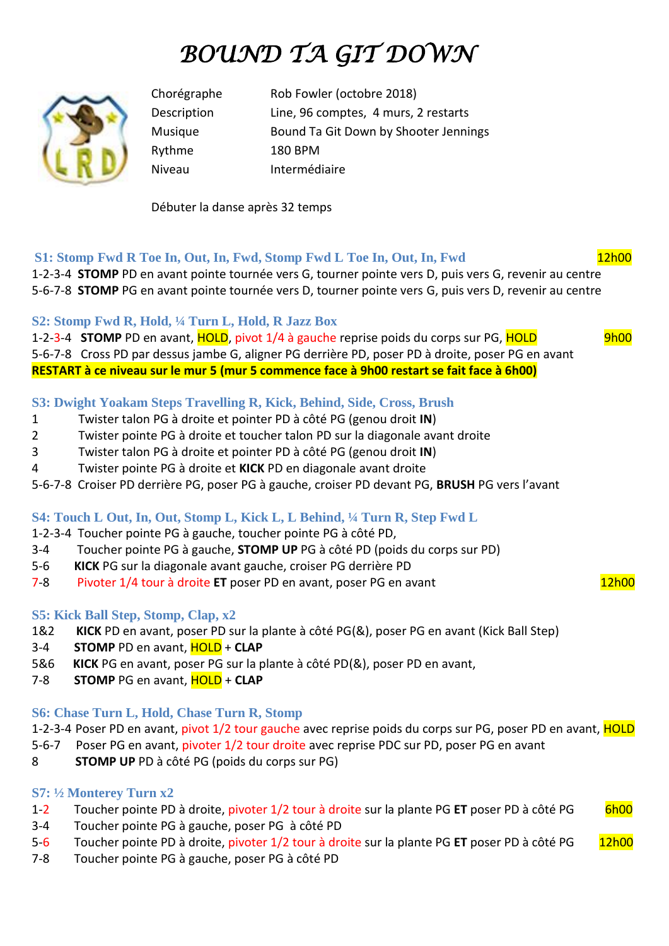# *BOUND TA GIT DOWN*



Chorégraphe Rob Fowler (octobre 2018) Description Line, 96 comptes, 4 murs, 2 restarts Musique Bound Ta Git Down by Shooter Jennings Rythme 180 BPM Niveau Intermédiaire

Débuter la danse après 32 temps

# **S1: Stomp Fwd R Toe In, Out, In, Fwd, Stomp Fwd L Toe In, Out, In, Fwd 12h00**

1-2-3-4 **STOMP** PD en avant pointe tournée vers G, tourner pointe vers D, puis vers G, revenir au centre 5-6-7-8 **STOMP** PG en avant pointe tournée vers D, tourner pointe vers G, puis vers D, revenir au centre

## **S2: Stomp Fwd R, Hold, ¼ Turn L, Hold, R Jazz Box**

1-2-3-4 **STOMP** PD en avant, **HOLD**, pivot 1/4 à gauche reprise poids du corps sur PG, **HOLD** 9h00 5-6-7-8 Cross PD par dessus jambe G, aligner PG derrière PD, poser PD à droite, poser PG en avant **RESTART à ce niveau sur le mur 5 (mur 5 commence face à 9h00 restart se fait face à 6h00)** 

## **S3: Dwight Yoakam Steps Travelling R, Kick, Behind, Side, Cross, Brush**

- 1 Twister talon PG à droite et pointer PD à côté PG (genou droit **IN**)
- 2 Twister pointe PG à droite et toucher talon PD sur la diagonale avant droite
- 3 Twister talon PG à droite et pointer PD à côté PG (genou droit **IN**)
- 4 Twister pointe PG à droite et **KICK** PD en diagonale avant droite
- 5-6-7-8 Croiser PD derrière PG, poser PG à gauche, croiser PD devant PG, **BRUSH** PG vers l'avant

#### **S4: Touch L Out, In, Out, Stomp L, Kick L, L Behind, ¼ Turn R, Step Fwd L**

- 1-2-3-4 Toucher pointe PG à gauche, toucher pointe PG à côté PD,
- 3-4 Toucher pointe PG à gauche, **STOMP UP** PG à côté PD (poids du corps sur PD)
- 5-6 **KICK** PG sur la diagonale avant gauche, croiser PG derrière PD
- 7-8 Pivoter 1/4 tour à droite **ET** poser PD en avant, poser PG en avant

#### **S5: Kick Ball Step, Stomp, Clap, x2**

- 1&2 **KICK** PD en avant, poser PD sur la plante à côté PG(&), poser PG en avant (Kick Ball Step)
- 3-4 **STOMP** PD en avant, HOLD + **CLAP**
- 5&6 **KICK** PG en avant, poser PG sur la plante à côté PD(&), poser PD en avant,
- 7-8 **STOMP** PG en avant, HOLD + **CLAP**

#### **S6: Chase Turn L, Hold, Chase Turn R, Stomp**

1-2-3-4 Poser PD en avant, pivot 1/2 tour gauche avec reprise poids du corps sur PG, poser PD en avant, HOLD

- 5-6-7 Poser PG en avant, pivoter 1/2 tour droite avec reprise PDC sur PD, poser PG en avant
- 8 **STOMP UP** PD à côté PG (poids du corps sur PG)

#### **S7: ½ Monterey Turn x2**

- 1-2 Toucher pointe PD à droite, pivoter 1/2 tour à droite sur la plante PG ET poser PD à côté PG 6h00
- 3-4 Toucher pointe PG à gauche, poser PG à côté PD
- 5-6 Toucher pointe PD à droite, pivoter 1/2 tour à droite sur la plante PG **ET** poser PD à côté PG 12h00
- 7-8 Toucher pointe PG à gauche, poser PG à côté PD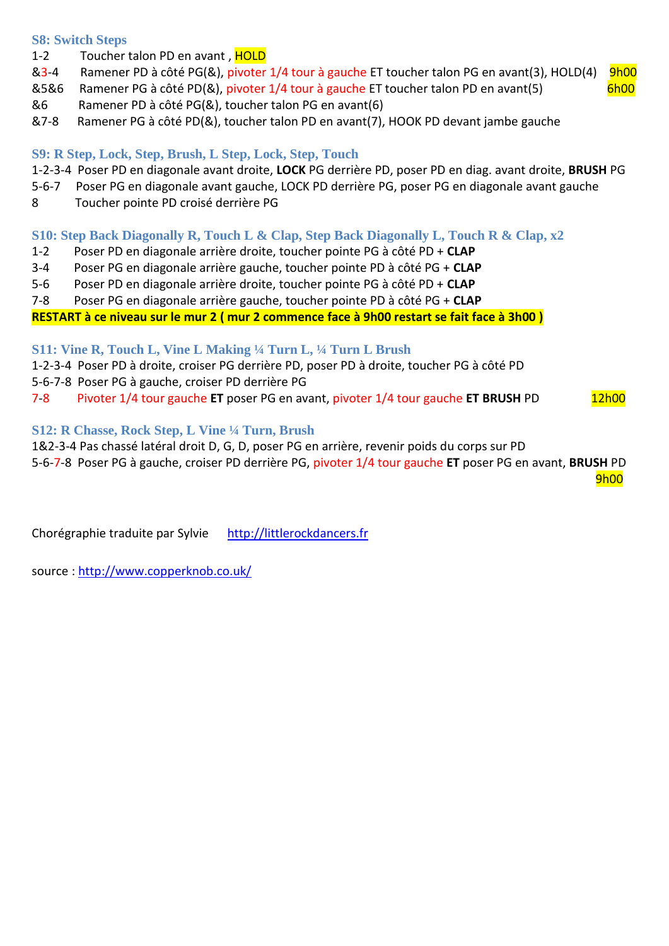#### **S8: Switch Steps**

- 1-2 Toucher talon PD en avant, HOLD
- &3-4 Ramener PD à côté PG(&), pivoter 1/4 tour à gauche ET toucher talon PG en avant(3), HOLD(4) 9h00
- &5&6 Ramener PG à côté PD(&), pivoter 1/4 tour à gauche ET toucher talon PD en avant(5) 6h00
- &6 Ramener PD à côté PG(&), toucher talon PG en avant(6)
- &7-8 Ramener PG à côté PD(&), toucher talon PD en avant(7), HOOK PD devant jambe gauche

## **S9: R Step, Lock, Step, Brush, L Step, Lock, Step, Touch**

- 1-2-3-4 Poser PD en diagonale avant droite, **LOCK** PG derrière PD, poser PD en diag. avant droite, **BRUSH** PG
- 5-6-7 Poser PG en diagonale avant gauche, LOCK PD derrière PG, poser PG en diagonale avant gauche
- 8 Toucher pointe PD croisé derrière PG

## **S10: Step Back Diagonally R, Touch L & Clap, Step Back Diagonally L, Touch R & Clap, x2**

- 1-2 Poser PD en diagonale arrière droite, toucher pointe PG à côté PD + **CLAP**
- 3-4 Poser PG en diagonale arrière gauche, toucher pointe PD à côté PG + **CLAP**
- 5-6 Poser PD en diagonale arrière droite, toucher pointe PG à côté PD + **CLAP**
- 7-8 Poser PG en diagonale arrière gauche, toucher pointe PD à côté PG + **CLAP**

**RESTART à ce niveau sur le mur 2 ( mur 2 commence face à 9h00 restart se fait face à 3h00 )**

#### **S11: Vine R, Touch L, Vine L Making ¼ Turn L, ¼ Turn L Brush**

1-2-3-4 Poser PD à droite, croiser PG derrière PD, poser PD à droite, toucher PG à côté PD

- 5-6-7-8 Poser PG à gauche, croiser PD derrière PG
- 7-8 Pivoter 1/4 tour gauche **ET** poser PG en avant, pivoter 1/4 tour gauche **ET BRUSH** PD 12h00

## **S12: R Chasse, Rock Step, L Vine ¼ Turn, Brush**

1&2-3-4 Pas chassé latéral droit D, G, D, poser PG en arrière, revenir poids du corps sur PD 5-6-7-8 Poser PG à gauche, croiser PD derrière PG, pivoter 1/4 tour gauche **ET** poser PG en avant, **BRUSH** PD

en de la provincia de la provincia de la provincia de la provincia de la provincia de la provincia de la provi

Chorégraphie traduite par Sylvie http://littlerockdancers.fr

source : [http://www.copperknob.co.uk/](https://www.copperknob.co.uk/)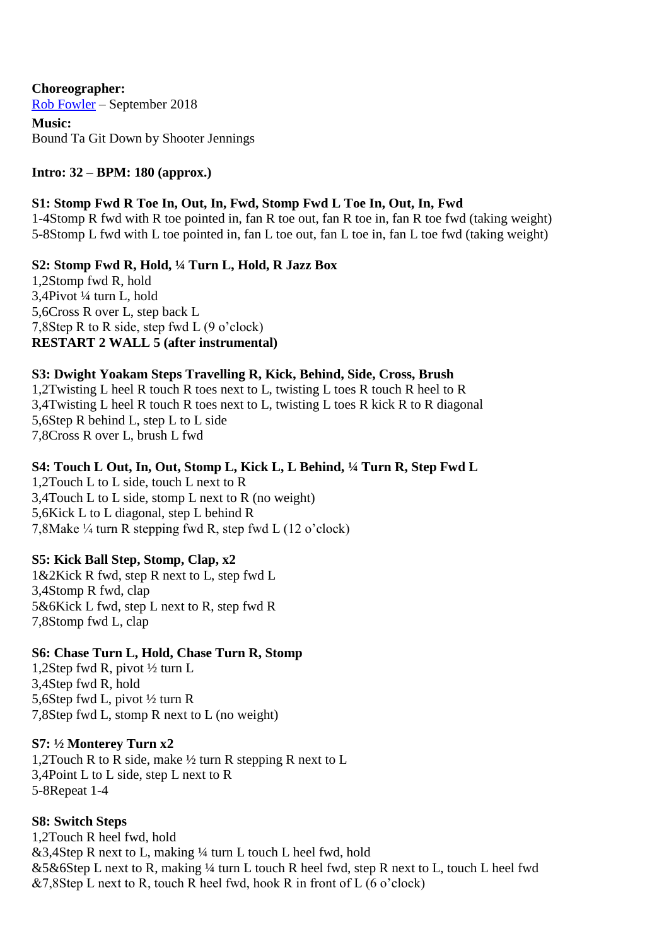**Choreographer:** [Rob Fowler](https://www.copperknob.co.uk/choreographer/rob-fowler-ID5.aspx) – September 2018 **Music:** Bound Ta Git Down by Shooter Jennings

#### **Intro: 32 – BPM: 180 (approx.)**

#### **S1: Stomp Fwd R Toe In, Out, In, Fwd, Stomp Fwd L Toe In, Out, In, Fwd**

1-4Stomp R fwd with R toe pointed in, fan R toe out, fan R toe in, fan R toe fwd (taking weight) 5-8Stomp L fwd with L toe pointed in, fan L toe out, fan L toe in, fan L toe fwd (taking weight)

**S2: Stomp Fwd R, Hold, ¼ Turn L, Hold, R Jazz Box**

1,2Stomp fwd R, hold 3,4Pivot ¼ turn L, hold 5,6Cross R over L, step back L 7,8Step R to R side, step fwd L (9 o'clock) **RESTART 2 WALL 5 (after instrumental)**

#### **S3: Dwight Yoakam Steps Travelling R, Kick, Behind, Side, Cross, Brush**

1,2Twisting L heel R touch R toes next to L, twisting L toes R touch R heel to R 3,4Twisting L heel R touch R toes next to L, twisting L toes R kick R to R diagonal 5,6Step R behind L, step L to L side 7,8Cross R over L, brush L fwd

#### **S4: Touch L Out, In, Out, Stomp L, Kick L, L Behind, ¼ Turn R, Step Fwd L**

1,2Touch L to L side, touch L next to R 3,4Touch L to L side, stomp L next to R (no weight) 5,6Kick L to L diagonal, step L behind R 7,8Make ¼ turn R stepping fwd R, step fwd L (12 o'clock)

#### **S5: Kick Ball Step, Stomp, Clap, x2**

1&2Kick R fwd, step R next to L, step fwd L 3,4Stomp R fwd, clap 5&6Kick L fwd, step L next to R, step fwd R 7,8Stomp fwd L, clap

#### **S6: Chase Turn L, Hold, Chase Turn R, Stomp**

1,2Step fwd R, pivot ½ turn L 3,4Step fwd R, hold 5,6Step fwd L, pivot ½ turn R 7,8Step fwd L, stomp R next to L (no weight)

#### **S7: ½ Monterey Turn x2**

1,2Touch R to R side, make ½ turn R stepping R next to L 3,4Point L to L side, step L next to R 5-8Repeat 1-4

#### **S8: Switch Steps**

1,2Touch R heel fwd, hold  $&3,4$ Step R next to L, making ¼ turn L touch L heel fwd, hold &5&6Step L next to R, making ¼ turn L touch R heel fwd, step R next to L, touch L heel fwd  $&7,8$ Step L next to R, touch R heel fwd, hook R in front of L (6 o'clock)